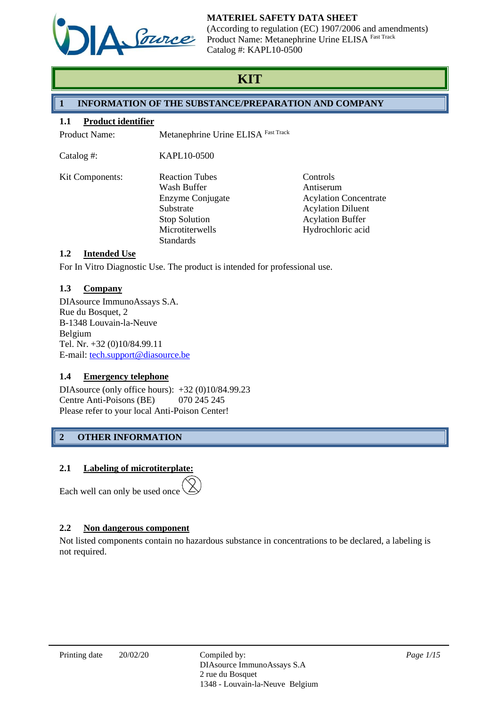

(According to regulation (EC) 1907/2006 and amendments) Product Name: Metanephrine Urine ELISA Fast Track Catalog #: KAPL10-0500

# **KIT**

# **1 INFORMATION OF THE SUBSTANCE/PREPARATION AND COMPANY**

## **1.1 Product identifier**

Product Name: Metanephrine Urine ELISA Fast Track

Catalog #: KAPL10-0500

| <b>Kit Components:</b> | <b>Reaction Tubes</b> | Controls                     |
|------------------------|-----------------------|------------------------------|
|                        | Wash Buffer           | Antiserum                    |
|                        | Enzyme Conjugate      | <b>Acylation Concentrate</b> |
|                        | Substrate             | <b>Acylation Diluent</b>     |
|                        | <b>Stop Solution</b>  | <b>Acylation Buffer</b>      |
|                        | Microtiterwells       | Hydrochloric acid            |
|                        | <b>Standards</b>      |                              |

# **1.2 Intended Use**

For In Vitro Diagnostic Use. The product is intended for professional use.

## **1.3 Company**

DIAsource ImmunoAssays S.A. Rue du Bosquet, 2 B-1348 Louvain-la-Neuve Belgium Tel. Nr. +32 (0)10/84.99.11 E-mail: [tech.support@diasource.be](mailto:tech.support@diasource.be)

# **1.4 Emergency telephone**

DIAsource (only office hours): +32 (0)10/84.99.23 Centre Anti-Poisons (BE) 070 245 245 Please refer to your local Anti-Poison Center!

# **2 OTHER INFORMATION**

# **2.1 Labeling of microtiterplate:**

Each well can only be used once

# **2.2 Non dangerous component**

Not listed components contain no hazardous substance in concentrations to be declared, a labeling is not required.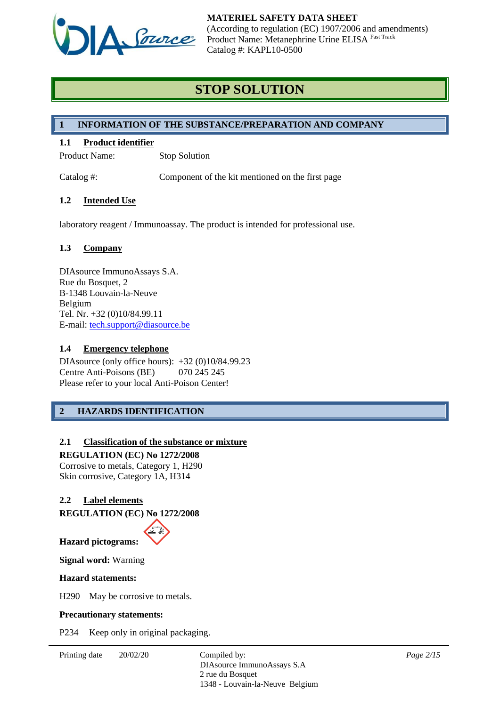

# **STOP SOLUTION**

## **1 INFORMATION OF THE SUBSTANCE/PREPARATION AND COMPANY**

## **1.1 Product identifier**

Product Name: Stop Solution

Catalog #: Component of the kit mentioned on the first page

## **1.2 Intended Use**

laboratory reagent / Immunoassay. The product is intended for professional use.

## **1.3 Company**

DIAsource ImmunoAssays S.A. Rue du Bosquet, 2 B-1348 Louvain-la-Neuve Belgium Tel. Nr. +32 (0)10/84.99.11 E-mail: [tech.support@diasource.be](mailto:tech.support@diasource.be)

## **1.4 Emergency telephone**

DIAsource (only office hours): +32 (0)10/84.99.23 Centre Anti-Poisons (BE) 070 245 245 Please refer to your local Anti-Poison Center!

# **2 HAZARDS IDENTIFICATION**

## **2.1 Classification of the substance or mixture**

**REGULATION (EC) No 1272/2008** Corrosive to metals, Category 1, H290 Skin corrosive, Category 1A, H314

## **2.2 Label elements**

**REGULATION (EC) No 1272/2008**



**Signal word:** Warning

#### **Hazard statements:**

H290 May be corrosive to metals.

#### **Precautionary statements:**

P234 Keep only in original packaging.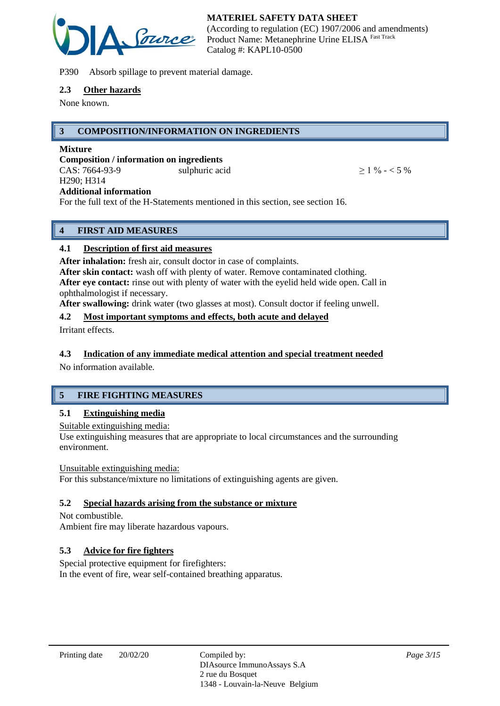

P390 Absorb spillage to prevent material damage.

#### **2.3 Other hazards**

None known.

## **3 COMPOSITION/INFORMATION ON INGREDIENTS**

#### **Mixture**

**Composition / information on ingredients** CAS:  $7664-93-9$  sulphuric acid  $> 1\% - 5\%$ H290; H314 **Additional information**

For the full text of the H-Statements mentioned in this section, see section 16.

# **4 FIRST AID MEASURES**

## **4.1 Description of first aid measures**

**After inhalation:** fresh air, consult doctor in case of complaints.

**After skin contact:** wash off with plenty of water. Remove contaminated clothing. **After eye contact:** rinse out with plenty of water with the eyelid held wide open. Call in ophthalmologist if necessary.

**After swallowing:** drink water (two glasses at most). Consult doctor if feeling unwell.

## **4.2 Most important symptoms and effects, both acute and delayed**

Irritant effects.

## **4.3 Indication of any immediate medical attention and special treatment needed**

No information available.

# **5 FIRE FIGHTING MEASURES**

## **5.1 Extinguishing media**

Suitable extinguishing media:

Use extinguishing measures that are appropriate to local circumstances and the surrounding environment.

#### Unsuitable extinguishing media:

For this substance/mixture no limitations of extinguishing agents are given.

## **5.2 Special hazards arising from the substance or mixture**

Not combustible. Ambient fire may liberate hazardous vapours.

## **5.3 Advice for fire fighters**

Special protective equipment for firefighters: In the event of fire, wear self-contained breathing apparatus.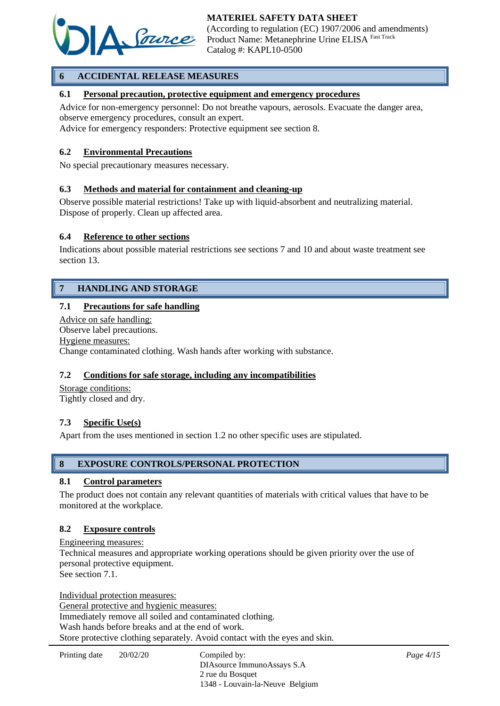

# **6 ACCIDENTAL RELEASE MEASURES**

## **6.1 Personal precaution, protective equipment and emergency procedures**

Advice for non-emergency personnel: Do not breathe vapours, aerosols. Evacuate the danger area, observe emergency procedures, consult an expert.

Advice for emergency responders: Protective equipment see section 8.

#### **6.2 Environmental Precautions**

No special precautionary measures necessary.

#### **6.3 Methods and material for containment and cleaning-up**

Observe possible material restrictions! Take up with liquid-absorbent and neutralizing material. Dispose of properly. Clean up affected area.

## **6.4 Reference to other sections**

Indications about possible material restrictions see sections 7 and 10 and about waste treatment see section 13.

## **7 HANDLING AND STORAGE**

## **7.1 Precautions for safe handling**

Advice on safe handling: Observe label precautions. Hygiene measures: Change contaminated clothing. Wash hands after working with substance.

#### **7.2 Conditions for safe storage, including any incompatibilities**

Storage conditions: Tightly closed and dry.

#### **7.3 Specific Use(s)**

Apart from the uses mentioned in section 1.2 no other specific uses are stipulated.

## **8 EXPOSURE CONTROLS/PERSONAL PROTECTION**

#### **8.1 Control parameters**

The product does not contain any relevant quantities of materials with critical values that have to be monitored at the workplace.

#### **8.2 Exposure controls**

Engineering measures: Technical measures and appropriate working operations should be given priority over the use of personal protective equipment. See section 7.1.

Individual protection measures: General protective and hygienic measures: Immediately remove all soiled and contaminated clothing. Wash hands before breaks and at the end of work. Store protective clothing separately. Avoid contact with the eyes and skin.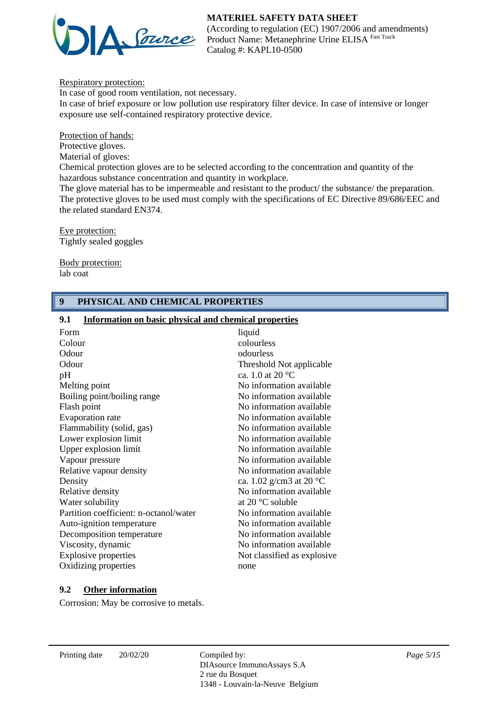

(According to regulation (EC) 1907/2006 and amendments) Product Name: Metanephrine Urine ELISA Fast Track Catalog #: KAPL10-0500

Respiratory protection:

In case of good room ventilation, not necessary. In case of brief exposure or low pollution use respiratory filter device. In case of intensive or longer exposure use self-contained respiratory protective device.

Protection of hands:

Protective gloves.

Material of gloves:

Chemical protection gloves are to be selected according to the concentration and quantity of the hazardous substance concentration and quantity in workplace.

The glove material has to be impermeable and resistant to the product/ the substance/ the preparation. The protective gloves to be used must comply with the specifications of EC Directive 89/686/EEC and the related standard EN374.

Eye protection: Tightly sealed goggles

Body protection: lab coat

## **9 PHYSICAL AND CHEMICAL PROPERTIES**

#### **9.1 Information on basic physical and chemical properties**

| Form                                   | liquid                            |
|----------------------------------------|-----------------------------------|
| Colour                                 | colourless                        |
| Odour                                  | odourless                         |
| Odour                                  | Threshold Not applicable          |
| pH                                     | ca. 1.0 at 20 $^{\circ}$ C        |
| Melting point                          | No information available          |
| Boiling point/boiling range            | No information available          |
| Flash point                            | No information available          |
| Evaporation rate                       | No information available          |
| Flammability (solid, gas)              | No information available          |
| Lower explosion limit                  | No information available          |
| Upper explosion limit                  | No information available          |
| Vapour pressure                        | No information available          |
| Relative vapour density                | No information available          |
| Density                                | ca. 1.02 g/cm3 at 20 $^{\circ}$ C |
| Relative density                       | No information available          |
| Water solubility                       | at 20 $\degree$ C soluble         |
| Partition coefficient: n-octanol/water | No information available          |
| Auto-ignition temperature              | No information available          |
| Decomposition temperature              | No information available          |
| Viscosity, dynamic                     | No information available          |
| <b>Explosive properties</b>            | Not classified as explosive       |
| Oxidizing properties                   | none                              |
|                                        |                                   |

## **9.2 Other information**

Corrosion: May be corrosive to metals.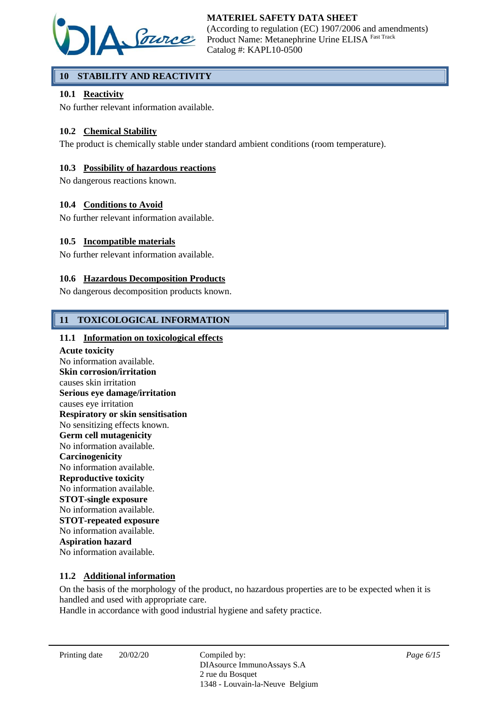

# **10 STABILITY AND REACTIVITY**

## **10.1 Reactivity**

No further relevant information available.

## **10.2 Chemical Stability**

The product is chemically stable under standard ambient conditions (room temperature).

## **10.3 Possibility of hazardous reactions**

No dangerous reactions known.

## **10.4 Conditions to Avoid**

No further relevant information available.

## **10.5 Incompatible materials**

No further relevant information available.

## **10.6 Hazardous Decomposition Products**

No dangerous decomposition products known.

## **11 TOXICOLOGICAL INFORMATION**

## **11.1 Information on toxicological effects**

**Acute toxicity** No information available. **Skin corrosion/irritation** causes skin irritation **Serious eye damage/irritation** causes eye irritation **Respiratory or skin sensitisation** No sensitizing effects known. **Germ cell mutagenicity** No information available. **Carcinogenicity** No information available. **Reproductive toxicity** No information available. **STOT-single exposure** No information available. **STOT-repeated exposure** No information available. **Aspiration hazard** No information available.

#### **11.2 Additional information**

On the basis of the morphology of the product, no hazardous properties are to be expected when it is handled and used with appropriate care.

Handle in accordance with good industrial hygiene and safety practice.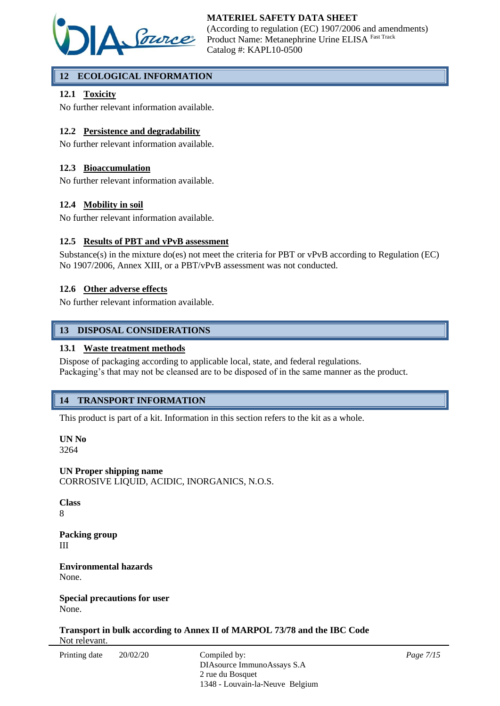

# **12 ECOLOGICAL INFORMATION**

## **12.1 Toxicity**

No further relevant information available.

## **12.2 Persistence and degradability**

No further relevant information available.

## **12.3 Bioaccumulation**

No further relevant information available.

## **12.4 Mobility in soil**

No further relevant information available.

#### **12.5 Results of PBT and vPvB assessment**

Substance(s) in the mixture do(es) not meet the criteria for PBT or vPvB according to Regulation (EC) No 1907/2006, Annex XIII, or a PBT/vPvB assessment was not conducted.

## **12.6 Other adverse effects**

No further relevant information available.

## **13 DISPOSAL CONSIDERATIONS**

## **13.1 Waste treatment methods**

Dispose of packaging according to applicable local, state, and federal regulations. Packaging's that may not be cleansed are to be disposed of in the same manner as the product.

## **14 TRANSPORT INFORMATION**

This product is part of a kit. Information in this section refers to the kit as a whole.

**UN No** 3264

**UN Proper shipping name** CORROSIVE LIQUID, ACIDIC, INORGANICS, N.O.S.

**Class** 8

**Packing group** III

**Environmental hazards** None.

**Special precautions for user** None.

**Transport in bulk according to Annex II of MARPOL 73/78 and the IBC Code** Not relevant.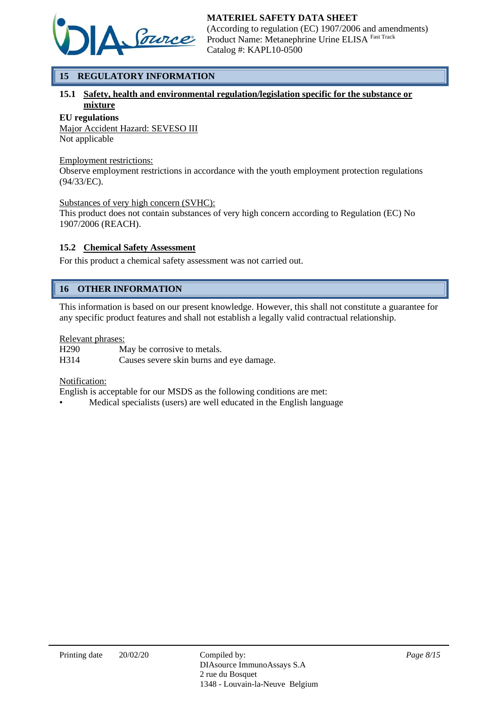

# **15 REGULATORY INFORMATION**

## **15.1 Safety, health and environmental regulation/legislation specific for the substance or mixture**

#### **EU regulations**

Major Accident Hazard: SEVESO III Not applicable

#### Employment restrictions:

Observe employment restrictions in accordance with the youth employment protection regulations (94/33/EC).

#### Substances of very high concern (SVHC):

This product does not contain substances of very high concern according to Regulation (EC) No 1907/2006 (REACH).

## **15.2 Chemical Safety Assessment**

For this product a chemical safety assessment was not carried out.

# **16 OTHER INFORMATION**

This information is based on our present knowledge. However, this shall not constitute a guarantee for any specific product features and shall not establish a legally valid contractual relationship.

## Relevant phrases:

H290 May be corrosive to metals. H314 Causes severe skin burns and eye damage.

#### Notification:

English is acceptable for our MSDS as the following conditions are met:

• Medical specialists (users) are well educated in the English language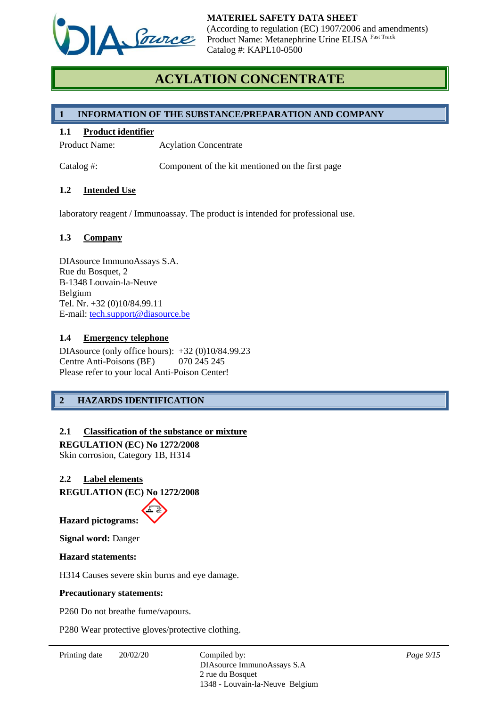

# **ACYLATION CONCENTRATE**

## **1 INFORMATION OF THE SUBSTANCE/PREPARATION AND COMPANY**

## **1.1 Product identifier**

Product Name: Acylation Concentrate

Catalog #: Component of the kit mentioned on the first page

## **1.2 Intended Use**

laboratory reagent / Immunoassay. The product is intended for professional use.

## **1.3 Company**

DIAsource ImmunoAssays S.A. Rue du Bosquet, 2 B-1348 Louvain-la-Neuve Belgium Tel. Nr. +32 (0)10/84.99.11 E-mail: [tech.support@diasource.be](mailto:tech.support@diasource.be)

## **1.4 Emergency telephone**

DIAsource (only office hours): +32 (0)10/84.99.23 Centre Anti-Poisons (BE) 070 245 245 Please refer to your local Anti-Poison Center!

## **2 HAZARDS IDENTIFICATION**

## **2.1 Classification of the substance or mixture**

**REGULATION (EC) No 1272/2008**

Skin corrosion, Category 1B, H314

## **2.2 Label elements**

**REGULATION (EC) No 1272/2008**

**Hazard pictograms:**

**Signal word:** Danger

#### **Hazard statements:**

H314 Causes severe skin burns and eye damage.

#### **Precautionary statements:**

P260 Do not breathe fume/vapours.

P280 Wear protective gloves/protective clothing.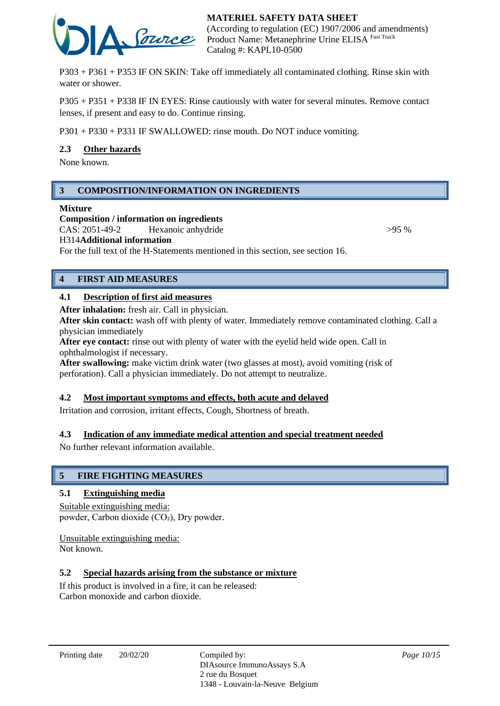

P303 + P361 + P353 IF ON SKIN: Take off immediately all contaminated clothing. Rinse skin with water or shower.

P305 + P351 + P338 IF IN EYES: Rinse cautiously with water for several minutes. Remove contact lenses, if present and easy to do. Continue rinsing.

P301 + P330 + P331 IF SWALLOWED: rinse mouth. Do NOT induce vomiting.

## **2.3 Other hazards**

None known.

## **3 COMPOSITION/INFORMATION ON INGREDIENTS**

#### **Mixture**

**Composition / information on ingredients** CAS: 2051-49-2 Hexanoic anhydride  $>95\%$ H314**Additional information**

For the full text of the H-Statements mentioned in this section, see section 16.

## **4 FIRST AID MEASURES**

#### **4.1 Description of first aid measures**

**After inhalation:** fresh air. Call in physician.

**After skin contact:** wash off with plenty of water. Immediately remove contaminated clothing. Call a physician immediately

**After eye contact:** rinse out with plenty of water with the eyelid held wide open. Call in ophthalmologist if necessary.

**After swallowing:** make victim drink water (two glasses at most), avoid vomiting (risk of perforation). Call a physician immediately. Do not attempt to neutralize.

#### **4.2 Most important symptoms and effects, both acute and delayed**

Irritation and corrosion, irritant effects, Cough, Shortness of breath.

#### **4.3 Indication of any immediate medical attention and special treatment needed**

No further relevant information available.

#### **5 FIRE FIGHTING MEASURES**

#### **5.1 Extinguishing media**

## Suitable extinguishing media:

powder, Carbon dioxide (CO₂), Dry powder.

Unsuitable extinguishing media: Not known.

#### **5.2 Special hazards arising from the substance or mixture**

If this product is involved in a fire, it can be released: Carbon monoxide and carbon dioxide.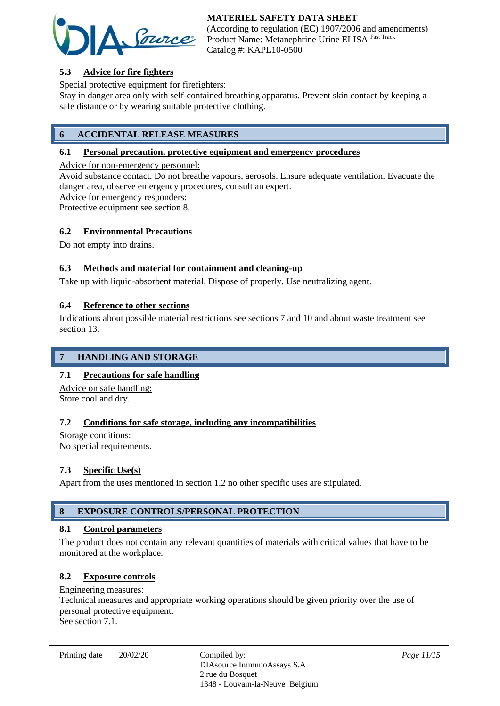

(According to regulation (EC) 1907/2006 and amendments) Product Name: Metanephrine Urine ELISA Fast Track Catalog #: KAPL10-0500

# **5.3 Advice for fire fighters**

Special protective equipment for firefighters:

Stay in danger area only with self-contained breathing apparatus. Prevent skin contact by keeping a safe distance or by wearing suitable protective clothing.

# **6 ACCIDENTAL RELEASE MEASURES**

## **6.1 Personal precaution, protective equipment and emergency procedures**

Advice for non-emergency personnel:

Avoid substance contact. Do not breathe vapours, aerosols. Ensure adequate ventilation. Evacuate the danger area, observe emergency procedures, consult an expert.

Advice for emergency responders:

Protective equipment see section 8.

## **6.2 Environmental Precautions**

Do not empty into drains.

## **6.3 Methods and material for containment and cleaning-up**

Take up with liquid-absorbent material. Dispose of properly. Use neutralizing agent.

## **6.4 Reference to other sections**

Indications about possible material restrictions see sections 7 and 10 and about waste treatment see section 13.

## **7 HANDLING AND STORAGE**

## **7.1 Precautions for safe handling**

Advice on safe handling: Store cool and dry.

## **7.2 Conditions for safe storage, including any incompatibilities**

Storage conditions: No special requirements.

# **7.3 Specific Use(s)**

Apart from the uses mentioned in section 1.2 no other specific uses are stipulated.

# **8 EXPOSURE CONTROLS/PERSONAL PROTECTION**

## **8.1 Control parameters**

The product does not contain any relevant quantities of materials with critical values that have to be monitored at the workplace.

## **8.2 Exposure controls**

## Engineering measures:

Technical measures and appropriate working operations should be given priority over the use of personal protective equipment.

See section 7.1.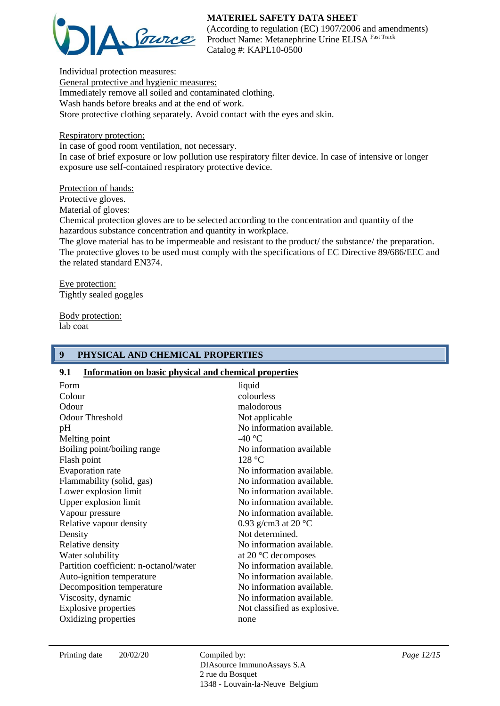

(According to regulation (EC) 1907/2006 and amendments) Product Name: Metanephrine Urine ELISA Fast Track Catalog #: KAPL10-0500

Individual protection measures: General protective and hygienic measures: Immediately remove all soiled and contaminated clothing. Wash hands before breaks and at the end of work. Store protective clothing separately. Avoid contact with the eyes and skin.

Respiratory protection:

In case of good room ventilation, not necessary.

In case of brief exposure or low pollution use respiratory filter device. In case of intensive or longer exposure use self-contained respiratory protective device.

## Protection of hands:

Protective gloves.

Material of gloves:

Chemical protection gloves are to be selected according to the concentration and quantity of the hazardous substance concentration and quantity in workplace.

The glove material has to be impermeable and resistant to the product/ the substance/ the preparation. The protective gloves to be used must comply with the specifications of EC Directive 89/686/EEC and the related standard EN374.

Eye protection: Tightly sealed goggles

Body protection: lab coat

# **9 PHYSICAL AND CHEMICAL PROPERTIES**

## **9.1 Information on basic physical and chemical properties**

| Form<br>Colour<br>Odour<br><b>Odour Threshold</b><br>pH<br>Melting point<br>Boiling point/boiling range<br>Flash point<br>Evaporation rate<br>Flammability (solid, gas)<br>Lower explosion limit<br>Upper explosion limit<br>Vapour pressure<br>Relative vapour density<br>Density<br>Relative density<br>Water solubility<br>Partition coefficient: n-octanol/water<br>Auto-ignition temperature<br>Decomposition temperature<br>Viscosity, dynamic | liquid<br>colourless<br>malodorous<br>Not applicable<br>No information available.<br>-40 $\degree$ C<br>No information available<br>128 °C<br>No information available.<br>No information available.<br>No information available.<br>No information available.<br>No information available.<br>0.93 g/cm3 at 20 $^{\circ}$ C<br>Not determined.<br>No information available.<br>at 20 $\degree$ C decomposes<br>No information available.<br>No information available.<br>No information available.<br>No information available. |
|------------------------------------------------------------------------------------------------------------------------------------------------------------------------------------------------------------------------------------------------------------------------------------------------------------------------------------------------------------------------------------------------------------------------------------------------------|----------------------------------------------------------------------------------------------------------------------------------------------------------------------------------------------------------------------------------------------------------------------------------------------------------------------------------------------------------------------------------------------------------------------------------------------------------------------------------------------------------------------------------|
|                                                                                                                                                                                                                                                                                                                                                                                                                                                      |                                                                                                                                                                                                                                                                                                                                                                                                                                                                                                                                  |
| <b>Explosive properties</b>                                                                                                                                                                                                                                                                                                                                                                                                                          | Not classified as explosive.                                                                                                                                                                                                                                                                                                                                                                                                                                                                                                     |
| Oxidizing properties                                                                                                                                                                                                                                                                                                                                                                                                                                 | none                                                                                                                                                                                                                                                                                                                                                                                                                                                                                                                             |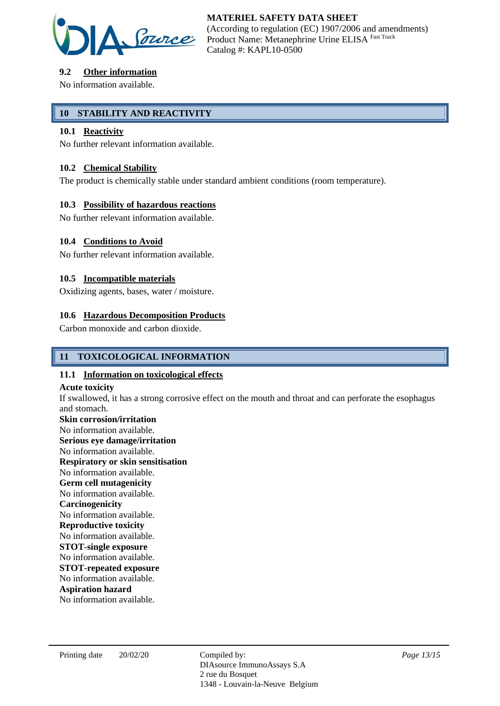

# **9.2 Other information**

No information available.

## **10 STABILITY AND REACTIVITY**

## **10.1 Reactivity**

No further relevant information available.

## **10.2 Chemical Stability**

The product is chemically stable under standard ambient conditions (room temperature).

## **10.3 Possibility of hazardous reactions**

No further relevant information available.

## **10.4 Conditions to Avoid**

No further relevant information available.

## **10.5 Incompatible materials**

Oxidizing agents, bases, water / moisture.

## **10.6 Hazardous Decomposition Products**

Carbon monoxide and carbon dioxide.

## **11 TOXICOLOGICAL INFORMATION**

#### **11.1 Information on toxicological effects**

#### **Acute toxicity**

If swallowed, it has a strong corrosive effect on the mouth and throat and can perforate the esophagus and stomach.

**Skin corrosion/irritation** No information available. **Serious eye damage/irritation** No information available. **Respiratory or skin sensitisation** No information available. **Germ cell mutagenicity** No information available. **Carcinogenicity** No information available. **Reproductive toxicity** No information available. **STOT-single exposure** No information available. **STOT-repeated exposure** No information available. **Aspiration hazard** No information available.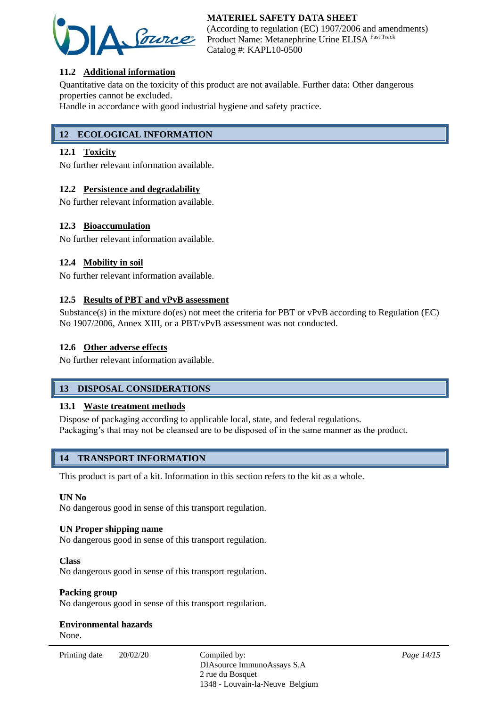

(According to regulation (EC) 1907/2006 and amendments) Product Name: Metanephrine Urine ELISA Fast Track Catalog #: KAPL10-0500

## **11.2 Additional information**

Quantitative data on the toxicity of this product are not available. Further data: Other dangerous properties cannot be excluded.

Handle in accordance with good industrial hygiene and safety practice.

# **12 ECOLOGICAL INFORMATION**

## **12.1 Toxicity**

No further relevant information available.

## **12.2 Persistence and degradability**

No further relevant information available.

## **12.3 Bioaccumulation**

No further relevant information available.

## **12.4 Mobility in soil**

No further relevant information available.

## **12.5 Results of PBT and vPvB assessment**

Substance(s) in the mixture do(es) not meet the criteria for PBT or vPvB according to Regulation (EC) No 1907/2006, Annex XIII, or a PBT/vPvB assessment was not conducted.

#### **12.6 Other adverse effects**

No further relevant information available.

## **13 DISPOSAL CONSIDERATIONS**

#### **13.1 Waste treatment methods**

Dispose of packaging according to applicable local, state, and federal regulations. Packaging's that may not be cleansed are to be disposed of in the same manner as the product.

## **14 TRANSPORT INFORMATION**

This product is part of a kit. Information in this section refers to the kit as a whole.

#### **UN No**

No dangerous good in sense of this transport regulation.

#### **UN Proper shipping name**

No dangerous good in sense of this transport regulation.

#### **Class**

No dangerous good in sense of this transport regulation.

#### **Packing group**

No dangerous good in sense of this transport regulation.

# **Environmental hazards**

None.

Printing date  $20/02/20$  Compiled by: